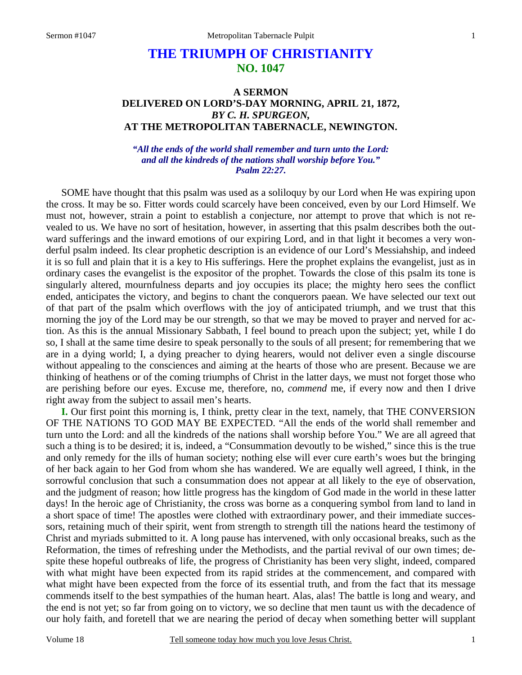## **THE TRIUMPH OF CHRISTIANITY NO. 1047**

## **A SERMON DELIVERED ON LORD'S-DAY MORNING, APRIL 21, 1872,**  *BY C. H. SPURGEON,*  **AT THE METROPOLITAN TABERNACLE, NEWINGTON.**

*"All the ends of the world shall remember and turn unto the Lord: and all the kindreds of the nations shall worship before You." Psalm 22:27.* 

SOME have thought that this psalm was used as a soliloquy by our Lord when He was expiring upon the cross. It may be so. Fitter words could scarcely have been conceived, even by our Lord Himself. We must not, however, strain a point to establish a conjecture, nor attempt to prove that which is not revealed to us. We have no sort of hesitation, however, in asserting that this psalm describes both the outward sufferings and the inward emotions of our expiring Lord, and in that light it becomes a very wonderful psalm indeed. Its clear prophetic description is an evidence of our Lord's Messiahship, and indeed it is so full and plain that it is a key to His sufferings. Here the prophet explains the evangelist, just as in ordinary cases the evangelist is the expositor of the prophet. Towards the close of this psalm its tone is singularly altered, mournfulness departs and joy occupies its place; the mighty hero sees the conflict ended, anticipates the victory, and begins to chant the conquerors paean. We have selected our text out of that part of the psalm which overflows with the joy of anticipated triumph, and we trust that this morning the joy of the Lord may be our strength, so that we may be moved to prayer and nerved for action. As this is the annual Missionary Sabbath, I feel bound to preach upon the subject; yet, while I do so, I shall at the same time desire to speak personally to the souls of all present; for remembering that we are in a dying world; I, a dying preacher to dying hearers, would not deliver even a single discourse without appealing to the consciences and aiming at the hearts of those who are present. Because we are thinking of heathens or of the coming triumphs of Christ in the latter days, we must not forget those who are perishing before our eyes. Excuse me, therefore, no, *commend* me, if every now and then I drive right away from the subject to assail men's hearts.

**I.** Our first point this morning is, I think, pretty clear in the text, namely, that THE CONVERSION OF THE NATIONS TO GOD MAY BE EXPECTED. "All the ends of the world shall remember and turn unto the Lord: and all the kindreds of the nations shall worship before You." We are all agreed that such a thing is to be desired; it is, indeed, a "Consummation devoutly to be wished," since this is the true and only remedy for the ills of human society; nothing else will ever cure earth's woes but the bringing of her back again to her God from whom she has wandered. We are equally well agreed, I think, in the sorrowful conclusion that such a consummation does not appear at all likely to the eye of observation, and the judgment of reason; how little progress has the kingdom of God made in the world in these latter days! In the heroic age of Christianity, the cross was borne as a conquering symbol from land to land in a short space of time! The apostles were clothed with extraordinary power, and their immediate successors, retaining much of their spirit, went from strength to strength till the nations heard the testimony of Christ and myriads submitted to it. A long pause has intervened, with only occasional breaks, such as the Reformation, the times of refreshing under the Methodists, and the partial revival of our own times; despite these hopeful outbreaks of life, the progress of Christianity has been very slight, indeed, compared with what might have been expected from its rapid strides at the commencement, and compared with what might have been expected from the force of its essential truth, and from the fact that its message commends itself to the best sympathies of the human heart. Alas, alas! The battle is long and weary, and the end is not yet; so far from going on to victory, we so decline that men taunt us with the decadence of our holy faith, and foretell that we are nearing the period of decay when something better will supplant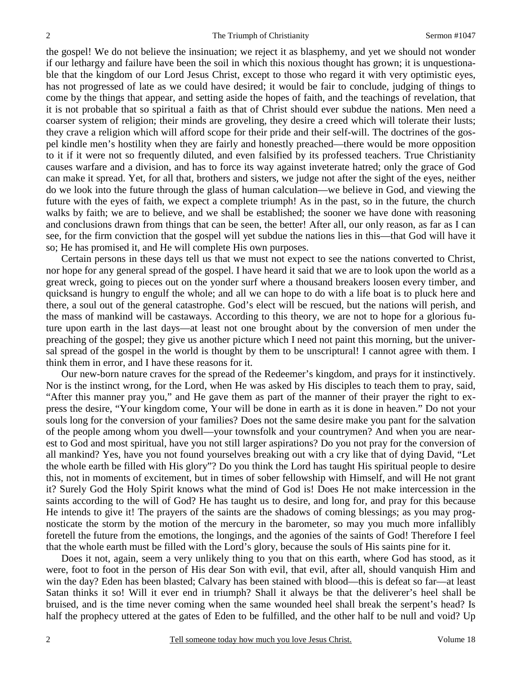the gospel! We do not believe the insinuation; we reject it as blasphemy, and yet we should not wonder if our lethargy and failure have been the soil in which this noxious thought has grown; it is unquestionable that the kingdom of our Lord Jesus Christ, except to those who regard it with very optimistic eyes, has not progressed of late as we could have desired; it would be fair to conclude, judging of things to come by the things that appear, and setting aside the hopes of faith, and the teachings of revelation, that it is not probable that so spiritual a faith as that of Christ should ever subdue the nations. Men need a coarser system of religion; their minds are groveling, they desire a creed which will tolerate their lusts; they crave a religion which will afford scope for their pride and their self-will. The doctrines of the gospel kindle men's hostility when they are fairly and honestly preached—there would be more opposition to it if it were not so frequently diluted, and even falsified by its professed teachers. True Christianity causes warfare and a division, and has to force its way against inveterate hatred; only the grace of God can make it spread. Yet, for all that, brothers and sisters, we judge not after the sight of the eyes, neither do we look into the future through the glass of human calculation—we believe in God, and viewing the future with the eyes of faith, we expect a complete triumph! As in the past, so in the future, the church walks by faith; we are to believe, and we shall be established; the sooner we have done with reasoning and conclusions drawn from things that can be seen, the better! After all, our only reason, as far as I can see, for the firm conviction that the gospel will yet subdue the nations lies in this—that God will have it so; He has promised it, and He will complete His own purposes.

Certain persons in these days tell us that we must not expect to see the nations converted to Christ, nor hope for any general spread of the gospel. I have heard it said that we are to look upon the world as a great wreck, going to pieces out on the yonder surf where a thousand breakers loosen every timber, and quicksand is hungry to engulf the whole; and all we can hope to do with a life boat is to pluck here and there, a soul out of the general catastrophe. God's elect will be rescued, but the nations will perish, and the mass of mankind will be castaways. According to this theory, we are not to hope for a glorious future upon earth in the last days—at least not one brought about by the conversion of men under the preaching of the gospel; they give us another picture which I need not paint this morning, but the universal spread of the gospel in the world is thought by them to be unscriptural! I cannot agree with them. I think them in error, and I have these reasons for it.

Our new-born nature craves for the spread of the Redeemer's kingdom, and prays for it instinctively. Nor is the instinct wrong, for the Lord, when He was asked by His disciples to teach them to pray, said, "After this manner pray you," and He gave them as part of the manner of their prayer the right to express the desire, "Your kingdom come, Your will be done in earth as it is done in heaven." Do not your souls long for the conversion of your families? Does not the same desire make you pant for the salvation of the people among whom you dwell—your townsfolk and your countrymen? And when you are nearest to God and most spiritual, have you not still larger aspirations? Do you not pray for the conversion of all mankind? Yes, have you not found yourselves breaking out with a cry like that of dying David, "Let the whole earth be filled with His glory"? Do you think the Lord has taught His spiritual people to desire this, not in moments of excitement, but in times of sober fellowship with Himself, and will He not grant it? Surely God the Holy Spirit knows what the mind of God is! Does He not make intercession in the saints according to the will of God? He has taught us to desire, and long for, and pray for this because He intends to give it! The prayers of the saints are the shadows of coming blessings; as you may prognosticate the storm by the motion of the mercury in the barometer, so may you much more infallibly foretell the future from the emotions, the longings, and the agonies of the saints of God! Therefore I feel that the whole earth must be filled with the Lord's glory, because the souls of His saints pine for it.

Does it not, again, seem a very unlikely thing to you that on this earth, where God has stood, as it were, foot to foot in the person of His dear Son with evil, that evil, after all, should vanquish Him and win the day? Eden has been blasted; Calvary has been stained with blood—this is defeat so far—at least Satan thinks it so! Will it ever end in triumph? Shall it always be that the deliverer's heel shall be bruised, and is the time never coming when the same wounded heel shall break the serpent's head? Is half the prophecy uttered at the gates of Eden to be fulfilled, and the other half to be null and void? Up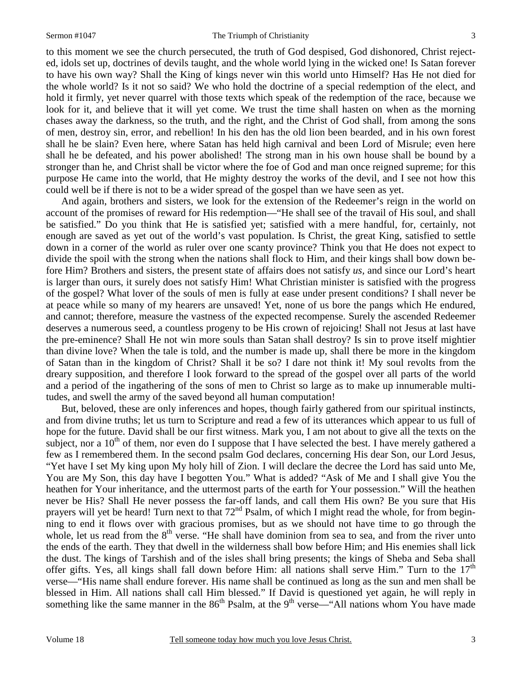## Sermon #1047 The Triumph of Christianity

3

to this moment we see the church persecuted, the truth of God despised, God dishonored, Christ rejected, idols set up, doctrines of devils taught, and the whole world lying in the wicked one! Is Satan forever to have his own way? Shall the King of kings never win this world unto Himself? Has He not died for the whole world? Is it not so said? We who hold the doctrine of a special redemption of the elect, and hold it firmly, yet never quarrel with those texts which speak of the redemption of the race, because we look for it, and believe that it will yet come. We trust the time shall hasten on when as the morning chases away the darkness, so the truth, and the right, and the Christ of God shall, from among the sons of men, destroy sin, error, and rebellion! In his den has the old lion been bearded, and in his own forest shall he be slain? Even here, where Satan has held high carnival and been Lord of Misrule; even here shall he be defeated, and his power abolished! The strong man in his own house shall be bound by a stronger than he, and Christ shall be victor where the foe of God and man once reigned supreme; for this purpose He came into the world, that He mighty destroy the works of the devil, and I see not how this could well be if there is not to be a wider spread of the gospel than we have seen as yet.

And again, brothers and sisters, we look for the extension of the Redeemer's reign in the world on account of the promises of reward for His redemption—"He shall see of the travail of His soul, and shall be satisfied." Do you think that He is satisfied yet; satisfied with a mere handful, for, certainly, not enough are saved as yet out of the world's vast population. Is Christ, the great King, satisfied to settle down in a corner of the world as ruler over one scanty province? Think you that He does not expect to divide the spoil with the strong when the nations shall flock to Him, and their kings shall bow down before Him? Brothers and sisters, the present state of affairs does not satisfy *us,* and since our Lord's heart is larger than ours, it surely does not satisfy Him! What Christian minister is satisfied with the progress of the gospel? What lover of the souls of men is fully at ease under present conditions? I shall never be at peace while so many of my hearers are unsaved! Yet, none of us bore the pangs which He endured, and cannot; therefore, measure the vastness of the expected recompense. Surely the ascended Redeemer deserves a numerous seed, a countless progeny to be His crown of rejoicing! Shall not Jesus at last have the pre-eminence? Shall He not win more souls than Satan shall destroy? Is sin to prove itself mightier than divine love? When the tale is told, and the number is made up, shall there be more in the kingdom of Satan than in the kingdom of Christ? Shall it be so? I dare not think it! My soul revolts from the dreary supposition, and therefore I look forward to the spread of the gospel over all parts of the world and a period of the ingathering of the sons of men to Christ so large as to make up innumerable multitudes, and swell the army of the saved beyond all human computation!

But, beloved, these are only inferences and hopes, though fairly gathered from our spiritual instincts, and from divine truths; let us turn to Scripture and read a few of its utterances which appear to us full of hope for the future. David shall be our first witness. Mark you, I am not about to give all the texts on the subject, nor a  $10<sup>th</sup>$  of them, nor even do I suppose that I have selected the best. I have merely gathered a few as I remembered them. In the second psalm God declares, concerning His dear Son, our Lord Jesus, "Yet have I set My king upon My holy hill of Zion. I will declare the decree the Lord has said unto Me, You are My Son, this day have I begotten You." What is added? "Ask of Me and I shall give You the heathen for Your inheritance, and the uttermost parts of the earth for Your possession." Will the heathen never be His? Shall He never possess the far-off lands, and call them His own? Be you sure that His prayers will yet be heard! Turn next to that 72<sup>nd</sup> Psalm, of which I might read the whole, for from beginning to end it flows over with gracious promises, but as we should not have time to go through the whole, let us read from the  $8<sup>th</sup>$  verse. "He shall have dominion from sea to sea, and from the river unto the ends of the earth. They that dwell in the wilderness shall bow before Him; and His enemies shall lick the dust. The kings of Tarshish and of the isles shall bring presents; the kings of Sheba and Seba shall offer gifts. Yes, all kings shall fall down before Him: all nations shall serve Him." Turn to the  $17<sup>th</sup>$ verse—"His name shall endure forever. His name shall be continued as long as the sun and men shall be blessed in Him. All nations shall call Him blessed." If David is questioned yet again, he will reply in something like the same manner in the  $86<sup>th</sup>$  Psalm, at the 9<sup>th</sup> verse—"All nations whom You have made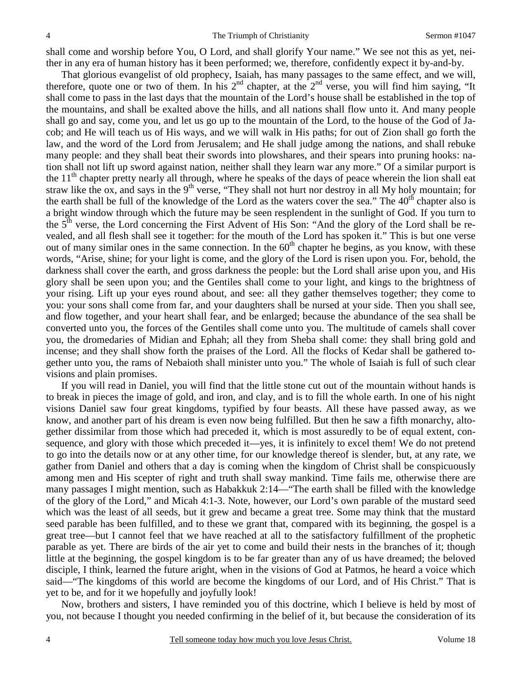shall come and worship before You, O Lord, and shall glorify Your name." We see not this as yet, neither in any era of human history has it been performed; we, therefore, confidently expect it by-and-by.

That glorious evangelist of old prophecy, Isaiah, has many passages to the same effect, and we will, therefore, quote one or two of them. In his  $2<sup>nd</sup>$  chapter, at the  $2<sup>nd</sup>$  verse, you will find him saying, "It shall come to pass in the last days that the mountain of the Lord's house shall be established in the top of the mountains, and shall be exalted above the hills, and all nations shall flow unto it. And many people shall go and say, come you, and let us go up to the mountain of the Lord, to the house of the God of Jacob; and He will teach us of His ways, and we will walk in His paths; for out of Zion shall go forth the law, and the word of the Lord from Jerusalem; and He shall judge among the nations, and shall rebuke many people: and they shall beat their swords into plowshares, and their spears into pruning hooks: nation shall not lift up sword against nation, neither shall they learn war any more." Of a similar purport is the  $11<sup>th</sup>$  chapter pretty nearly all through, where he speaks of the days of peace wherein the lion shall eat straw like the ox, and says in the  $9<sup>th</sup>$  verse, "They shall not hurt nor destroy in all My holy mountain; for the earth shall be full of the knowledge of the Lord as the waters cover the sea." The  $40<sup>th</sup>$  chapter also is a bright window through which the future may be seen resplendent in the sunlight of God. If you turn to the 5<sup>th</sup> verse, the Lord concerning the First Advent of His Son: "And the glory of the Lord shall be revealed, and all flesh shall see it together: for the mouth of the Lord has spoken it." This is but one verse out of many similar ones in the same connection. In the  $60<sup>th</sup>$  chapter he begins, as you know, with these words, "Arise, shine; for your light is come, and the glory of the Lord is risen upon you. For, behold, the darkness shall cover the earth, and gross darkness the people: but the Lord shall arise upon you, and His glory shall be seen upon you; and the Gentiles shall come to your light, and kings to the brightness of your rising. Lift up your eyes round about, and see: all they gather themselves together; they come to you: your sons shall come from far, and your daughters shall be nursed at your side. Then you shall see, and flow together, and your heart shall fear, and be enlarged; because the abundance of the sea shall be converted unto you, the forces of the Gentiles shall come unto you. The multitude of camels shall cover you, the dromedaries of Midian and Ephah; all they from Sheba shall come: they shall bring gold and incense; and they shall show forth the praises of the Lord. All the flocks of Kedar shall be gathered together unto you, the rams of Nebaioth shall minister unto you." The whole of Isaiah is full of such clear visions and plain promises.

If you will read in Daniel, you will find that the little stone cut out of the mountain without hands is to break in pieces the image of gold, and iron, and clay, and is to fill the whole earth. In one of his night visions Daniel saw four great kingdoms, typified by four beasts. All these have passed away, as we know, and another part of his dream is even now being fulfilled. But then he saw a fifth monarchy, altogether dissimilar from those which had preceded it, which is most assuredly to be of equal extent, consequence, and glory with those which preceded it—yes, it is infinitely to excel them! We do not pretend to go into the details now or at any other time, for our knowledge thereof is slender, but, at any rate, we gather from Daniel and others that a day is coming when the kingdom of Christ shall be conspicuously among men and His scepter of right and truth shall sway mankind. Time fails me, otherwise there are many passages I might mention, such as Habakkuk 2:14—"The earth shall be filled with the knowledge of the glory of the Lord," and Micah 4:1-3. Note, however, our Lord's own parable of the mustard seed which was the least of all seeds, but it grew and became a great tree. Some may think that the mustard seed parable has been fulfilled, and to these we grant that, compared with its beginning, the gospel is a great tree—but I cannot feel that we have reached at all to the satisfactory fulfillment of the prophetic parable as yet. There are birds of the air yet to come and build their nests in the branches of it; though little at the beginning, the gospel kingdom is to be far greater than any of us have dreamed; the beloved disciple, I think, learned the future aright, when in the visions of God at Patmos, he heard a voice which said—"The kingdoms of this world are become the kingdoms of our Lord, and of His Christ." That is yet to be, and for it we hopefully and joyfully look!

Now, brothers and sisters, I have reminded you of this doctrine, which I believe is held by most of you, not because I thought you needed confirming in the belief of it, but because the consideration of its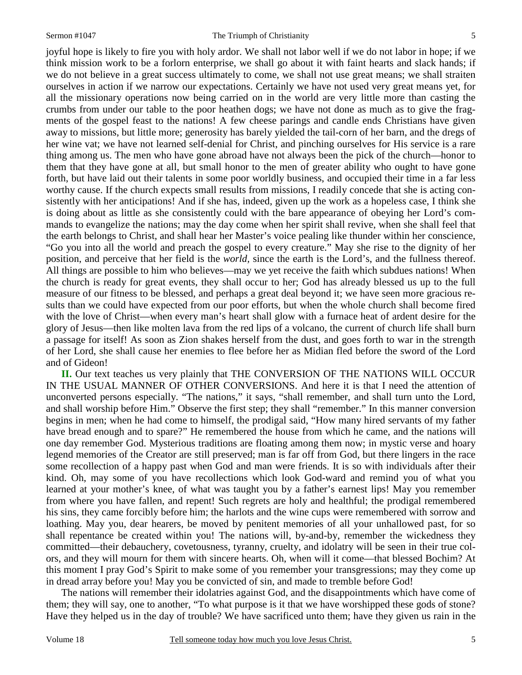joyful hope is likely to fire you with holy ardor. We shall not labor well if we do not labor in hope; if we think mission work to be a forlorn enterprise, we shall go about it with faint hearts and slack hands; if we do not believe in a great success ultimately to come, we shall not use great means; we shall straiten ourselves in action if we narrow our expectations. Certainly we have not used very great means yet, for all the missionary operations now being carried on in the world are very little more than casting the crumbs from under our table to the poor heathen dogs; we have not done as much as to give the fragments of the gospel feast to the nations! A few cheese parings and candle ends Christians have given away to missions, but little more; generosity has barely yielded the tail-corn of her barn, and the dregs of her wine vat; we have not learned self-denial for Christ, and pinching ourselves for His service is a rare thing among us. The men who have gone abroad have not always been the pick of the church—honor to them that they have gone at all, but small honor to the men of greater ability who ought to have gone forth, but have laid out their talents in some poor worldly business, and occupied their time in a far less worthy cause. If the church expects small results from missions, I readily concede that she is acting consistently with her anticipations! And if she has, indeed, given up the work as a hopeless case, I think she is doing about as little as she consistently could with the bare appearance of obeying her Lord's commands to evangelize the nations; may the day come when her spirit shall revive, when she shall feel that the earth belongs to Christ, and shall hear her Master's voice pealing like thunder within her conscience, "Go you into all the world and preach the gospel to every creature." May she rise to the dignity of her position, and perceive that her field is the *world,* since the earth is the Lord's, and the fullness thereof. All things are possible to him who believes—may we yet receive the faith which subdues nations! When the church is ready for great events, they shall occur to her; God has already blessed us up to the full measure of our fitness to be blessed, and perhaps a great deal beyond it; we have seen more gracious results than we could have expected from our poor efforts, but when the whole church shall become fired with the love of Christ—when every man's heart shall glow with a furnace heat of ardent desire for the glory of Jesus—then like molten lava from the red lips of a volcano, the current of church life shall burn a passage for itself! As soon as Zion shakes herself from the dust, and goes forth to war in the strength of her Lord, she shall cause her enemies to flee before her as Midian fled before the sword of the Lord and of Gideon!

**II.** Our text teaches us very plainly that THE CONVERSION OF THE NATIONS WILL OCCUR IN THE USUAL MANNER OF OTHER CONVERSIONS. And here it is that I need the attention of unconverted persons especially. "The nations," it says, "shall remember, and shall turn unto the Lord, and shall worship before Him." Observe the first step; they shall "remember." In this manner conversion begins in men; when he had come to himself, the prodigal said, "How many hired servants of my father have bread enough and to spare?" He remembered the house from which he came, and the nations will one day remember God. Mysterious traditions are floating among them now; in mystic verse and hoary legend memories of the Creator are still preserved; man is far off from God, but there lingers in the race some recollection of a happy past when God and man were friends. It is so with individuals after their kind. Oh, may some of you have recollections which look God-ward and remind you of what you learned at your mother's knee, of what was taught you by a father's earnest lips! May you remember from where you have fallen, and repent! Such regrets are holy and healthful; the prodigal remembered his sins, they came forcibly before him; the harlots and the wine cups were remembered with sorrow and loathing. May you, dear hearers, be moved by penitent memories of all your unhallowed past, for so shall repentance be created within you! The nations will, by-and-by, remember the wickedness they committed—their debauchery, covetousness, tyranny, cruelty, and idolatry will be seen in their true colors, and they will mourn for them with sincere hearts. Oh, when will it come—that blessed Bochim? At this moment I pray God's Spirit to make some of you remember your transgressions; may they come up in dread array before you! May you be convicted of sin, and made to tremble before God!

The nations will remember their idolatries against God, and the disappointments which have come of them; they will say, one to another, "To what purpose is it that we have worshipped these gods of stone? Have they helped us in the day of trouble? We have sacrificed unto them; have they given us rain in the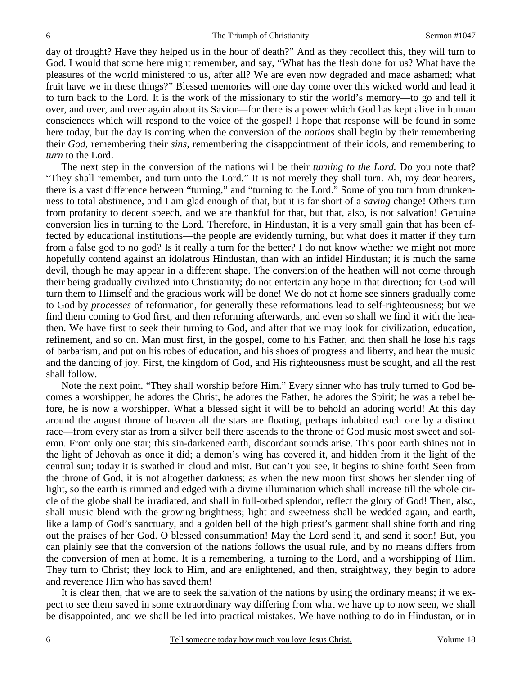day of drought? Have they helped us in the hour of death?" And as they recollect this, they will turn to God. I would that some here might remember, and say, "What has the flesh done for us? What have the pleasures of the world ministered to us, after all? We are even now degraded and made ashamed; what fruit have we in these things?" Blessed memories will one day come over this wicked world and lead it to turn back to the Lord. It is the work of the missionary to stir the world's memory—to go and tell it over, and over, and over again about its Savior—for there is a power which God has kept alive in human consciences which will respond to the voice of the gospel! I hope that response will be found in some here today, but the day is coming when the conversion of the *nations* shall begin by their remembering their *God,* remembering their *sins,* remembering the disappointment of their idols, and remembering to *turn* to the Lord.

The next step in the conversion of the nations will be their *turning to the Lord.* Do you note that? "They shall remember, and turn unto the Lord." It is not merely they shall turn. Ah, my dear hearers, there is a vast difference between "turning," and "turning to the Lord." Some of you turn from drunkenness to total abstinence, and I am glad enough of that, but it is far short of a *saving* change! Others turn from profanity to decent speech, and we are thankful for that, but that, also, is not salvation! Genuine conversion lies in turning to the Lord. Therefore, in Hindustan, it is a very small gain that has been effected by educational institutions—the people are evidently turning, but what does it matter if they turn from a false god to no god? Is it really a turn for the better? I do not know whether we might not more hopefully contend against an idolatrous Hindustan, than with an infidel Hindustan; it is much the same devil, though he may appear in a different shape. The conversion of the heathen will not come through their being gradually civilized into Christianity; do not entertain any hope in that direction; for God will turn them to Himself and the gracious work will be done! We do not at home see sinners gradually come to God by *processes* of reformation, for generally these reformations lead to self-righteousness; but we find them coming to God first, and then reforming afterwards, and even so shall we find it with the heathen. We have first to seek their turning to God, and after that we may look for civilization, education, refinement, and so on. Man must first, in the gospel, come to his Father, and then shall he lose his rags of barbarism, and put on his robes of education, and his shoes of progress and liberty, and hear the music and the dancing of joy. First, the kingdom of God, and His righteousness must be sought, and all the rest shall follow.

Note the next point. "They shall worship before Him." Every sinner who has truly turned to God becomes a worshipper; he adores the Christ, he adores the Father, he adores the Spirit; he was a rebel before, he is now a worshipper. What a blessed sight it will be to behold an adoring world! At this day around the august throne of heaven all the stars are floating, perhaps inhabited each one by a distinct race—from every star as from a silver bell there ascends to the throne of God music most sweet and solemn. From only one star; this sin-darkened earth, discordant sounds arise. This poor earth shines not in the light of Jehovah as once it did; a demon's wing has covered it, and hidden from it the light of the central sun; today it is swathed in cloud and mist. But can't you see, it begins to shine forth! Seen from the throne of God, it is not altogether darkness; as when the new moon first shows her slender ring of light, so the earth is rimmed and edged with a divine illumination which shall increase till the whole circle of the globe shall be irradiated, and shall in full-orbed splendor, reflect the glory of God! Then, also, shall music blend with the growing brightness; light and sweetness shall be wedded again, and earth, like a lamp of God's sanctuary, and a golden bell of the high priest's garment shall shine forth and ring out the praises of her God. O blessed consummation! May the Lord send it, and send it soon! But, you can plainly see that the conversion of the nations follows the usual rule, and by no means differs from the conversion of men at home. It is a remembering, a turning to the Lord, and a worshipping of Him. They turn to Christ; they look to Him, and are enlightened, and then, straightway, they begin to adore and reverence Him who has saved them!

It is clear then, that we are to seek the salvation of the nations by using the ordinary means; if we expect to see them saved in some extraordinary way differing from what we have up to now seen, we shall be disappointed, and we shall be led into practical mistakes. We have nothing to do in Hindustan, or in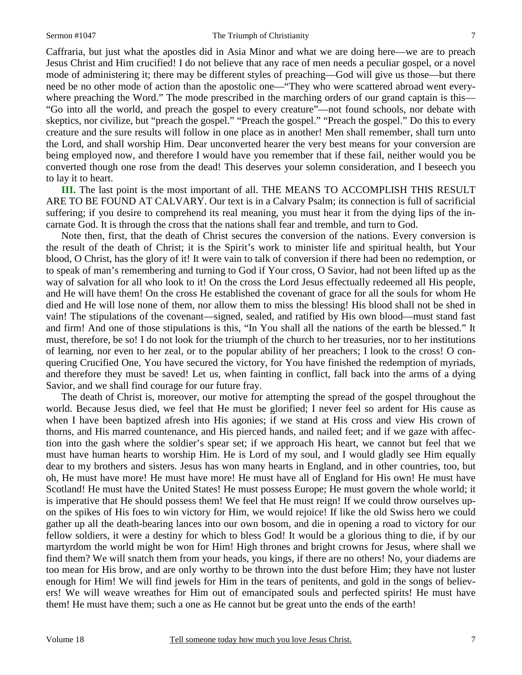Caffraria, but just what the apostles did in Asia Minor and what we are doing here—we are to preach Jesus Christ and Him crucified! I do not believe that any race of men needs a peculiar gospel, or a novel mode of administering it; there may be different styles of preaching—God will give us those—but there need be no other mode of action than the apostolic one—"They who were scattered abroad went everywhere preaching the Word." The mode prescribed in the marching orders of our grand captain is this— "Go into all the world, and preach the gospel to every creature"—not found schools, nor debate with skeptics, nor civilize, but "preach the gospel." "Preach the gospel." "Preach the gospel." Do this to every creature and the sure results will follow in one place as in another! Men shall remember, shall turn unto the Lord, and shall worship Him. Dear unconverted hearer the very best means for your conversion are being employed now, and therefore I would have you remember that if these fail, neither would you be converted though one rose from the dead! This deserves your solemn consideration, and I beseech you to lay it to heart.

**III.** The last point is the most important of all. THE MEANS TO ACCOMPLISH THIS RESULT ARE TO BE FOUND AT CALVARY. Our text is in a Calvary Psalm; its connection is full of sacrificial suffering; if you desire to comprehend its real meaning, you must hear it from the dying lips of the incarnate God. It is through the cross that the nations shall fear and tremble, and turn to God.

Note then, first, that the death of Christ secures the conversion of the nations. Every conversion is the result of the death of Christ; it is the Spirit's work to minister life and spiritual health, but Your blood, O Christ, has the glory of it! It were vain to talk of conversion if there had been no redemption, or to speak of man's remembering and turning to God if Your cross, O Savior, had not been lifted up as the way of salvation for all who look to it! On the cross the Lord Jesus effectually redeemed all His people, and He will have them! On the cross He established the covenant of grace for all the souls for whom He died and He will lose none of them, nor allow them to miss the blessing! His blood shall not be shed in vain! The stipulations of the covenant—signed, sealed, and ratified by His own blood—must stand fast and firm! And one of those stipulations is this, "In You shall all the nations of the earth be blessed." It must, therefore, be so! I do not look for the triumph of the church to her treasuries, nor to her institutions of learning, nor even to her zeal, or to the popular ability of her preachers; I look to the cross! O conquering Crucified One, You have secured the victory, for You have finished the redemption of myriads, and therefore they must be saved! Let us, when fainting in conflict, fall back into the arms of a dying Savior, and we shall find courage for our future fray.

The death of Christ is, moreover, our motive for attempting the spread of the gospel throughout the world. Because Jesus died, we feel that He must be glorified; I never feel so ardent for His cause as when I have been baptized afresh into His agonies; if we stand at His cross and view His crown of thorns, and His marred countenance, and His pierced hands, and nailed feet; and if we gaze with affection into the gash where the soldier's spear set; if we approach His heart, we cannot but feel that we must have human hearts to worship Him. He is Lord of my soul, and I would gladly see Him equally dear to my brothers and sisters. Jesus has won many hearts in England, and in other countries, too, but oh, He must have more! He must have more! He must have all of England for His own! He must have Scotland! He must have the United States! He must possess Europe; He must govern the whole world; it is imperative that He should possess them! We feel that He must reign! If we could throw ourselves upon the spikes of His foes to win victory for Him, we would rejoice! If like the old Swiss hero we could gather up all the death-bearing lances into our own bosom, and die in opening a road to victory for our fellow soldiers, it were a destiny for which to bless God! It would be a glorious thing to die, if by our martyrdom the world might be won for Him! High thrones and bright crowns for Jesus, where shall we find them? We will snatch them from your heads, you kings, if there are no others! No, your diadems are too mean for His brow, and are only worthy to be thrown into the dust before Him; they have not luster enough for Him! We will find jewels for Him in the tears of penitents, and gold in the songs of believers! We will weave wreathes for Him out of emancipated souls and perfected spirits! He must have them! He must have them; such a one as He cannot but be great unto the ends of the earth!